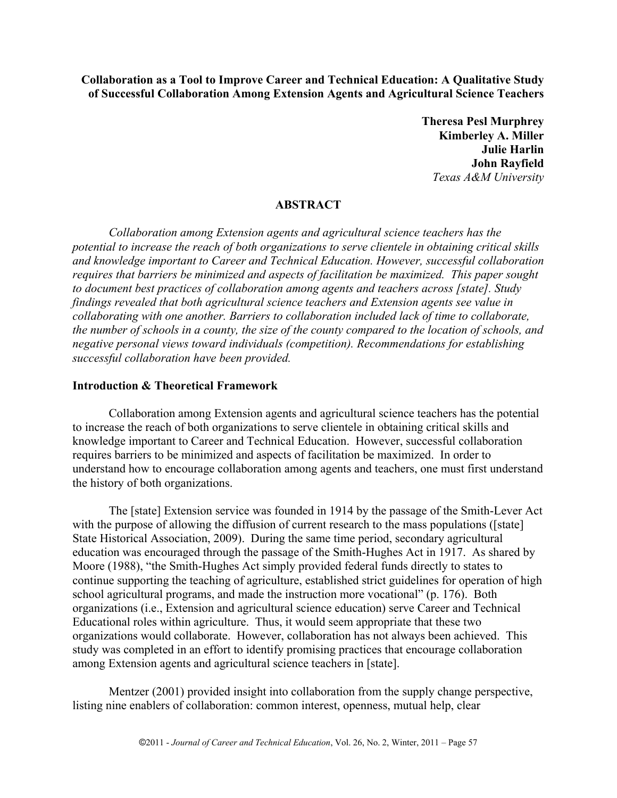**Collaboration as a Tool to Improve Career and Technical Education: A Qualitative Study of Successful Collaboration Among Extension Agents and Agricultural Science Teachers**

> **Theresa Pesl Murphrey Kimberley A. Miller Julie Harlin John Rayfield** *Texas A&M University*

# **ABSTRACT**

*Collaboration among Extension agents and agricultural science teachers has the potential to increase the reach of both organizations to serve clientele in obtaining critical skills and knowledge important to Career and Technical Education. However, successful collaboration requires that barriers be minimized and aspects of facilitation be maximized. This paper sought to document best practices of collaboration among agents and teachers across [state]. Study findings revealed that both agricultural science teachers and Extension agents see value in collaborating with one another. Barriers to collaboration included lack of time to collaborate, the number of schools in a county, the size of the county compared to the location of schools, and negative personal views toward individuals (competition). Recommendations for establishing successful collaboration have been provided.* 

## **Introduction & Theoretical Framework**

Collaboration among Extension agents and agricultural science teachers has the potential to increase the reach of both organizations to serve clientele in obtaining critical skills and knowledge important to Career and Technical Education. However, successful collaboration requires barriers to be minimized and aspects of facilitation be maximized. In order to understand how to encourage collaboration among agents and teachers, one must first understand the history of both organizations.

The [state] Extension service was founded in 1914 by the passage of the Smith-Lever Act with the purpose of allowing the diffusion of current research to the mass populations ([state] State Historical Association, 2009). During the same time period, secondary agricultural education was encouraged through the passage of the Smith-Hughes Act in 1917. As shared by Moore (1988), "the Smith-Hughes Act simply provided federal funds directly to states to continue supporting the teaching of agriculture, established strict guidelines for operation of high school agricultural programs, and made the instruction more vocational" (p. 176). Both organizations (i.e., Extension and agricultural science education) serve Career and Technical Educational roles within agriculture. Thus, it would seem appropriate that these two organizations would collaborate. However, collaboration has not always been achieved. This study was completed in an effort to identify promising practices that encourage collaboration among Extension agents and agricultural science teachers in [state].

Mentzer (2001) provided insight into collaboration from the supply change perspective, listing nine enablers of collaboration: common interest, openness, mutual help, clear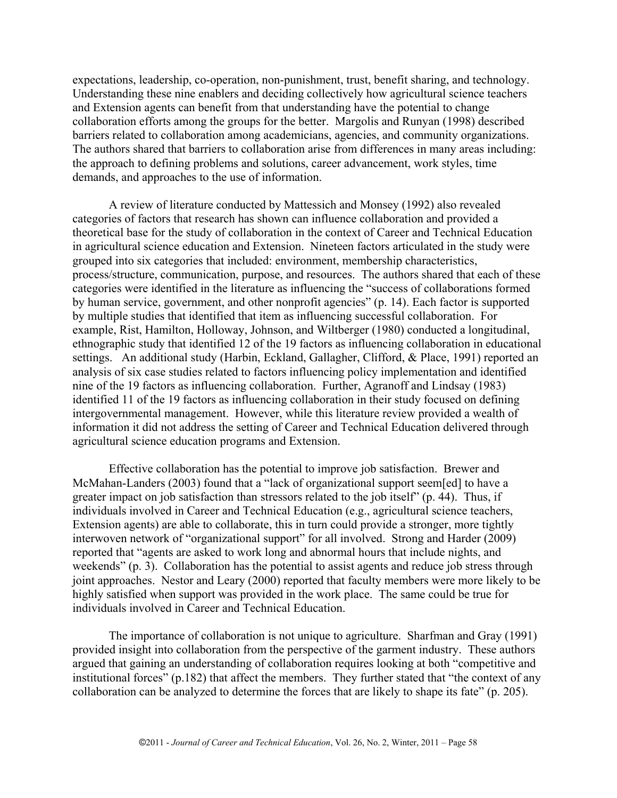expectations, leadership, co-operation, non-punishment, trust, benefit sharing, and technology. Understanding these nine enablers and deciding collectively how agricultural science teachers and Extension agents can benefit from that understanding have the potential to change collaboration efforts among the groups for the better. Margolis and Runyan (1998) described barriers related to collaboration among academicians, agencies, and community organizations. The authors shared that barriers to collaboration arise from differences in many areas including: the approach to defining problems and solutions, career advancement, work styles, time demands, and approaches to the use of information.

A review of literature conducted by Mattessich and Monsey (1992) also revealed categories of factors that research has shown can influence collaboration and provided a theoretical base for the study of collaboration in the context of Career and Technical Education in agricultural science education and Extension. Nineteen factors articulated in the study were grouped into six categories that included: environment, membership characteristics, process/structure, communication, purpose, and resources. The authors shared that each of these categories were identified in the literature as influencing the "success of collaborations formed by human service, government, and other nonprofit agencies" (p. 14). Each factor is supported by multiple studies that identified that item as influencing successful collaboration. For example, Rist, Hamilton, Holloway, Johnson, and Wiltberger (1980) conducted a longitudinal, ethnographic study that identified 12 of the 19 factors as influencing collaboration in educational settings. An additional study (Harbin, Eckland, Gallagher, Clifford, & Place, 1991) reported an analysis of six case studies related to factors influencing policy implementation and identified nine of the 19 factors as influencing collaboration. Further, Agranoff and Lindsay (1983) identified 11 of the 19 factors as influencing collaboration in their study focused on defining intergovernmental management. However, while this literature review provided a wealth of information it did not address the setting of Career and Technical Education delivered through agricultural science education programs and Extension.

Effective collaboration has the potential to improve job satisfaction. Brewer and McMahan-Landers (2003) found that a "lack of organizational support seem[ed] to have a greater impact on job satisfaction than stressors related to the job itself" (p. 44). Thus, if individuals involved in Career and Technical Education (e.g., agricultural science teachers, Extension agents) are able to collaborate, this in turn could provide a stronger, more tightly interwoven network of "organizational support" for all involved. Strong and Harder (2009) reported that "agents are asked to work long and abnormal hours that include nights, and weekends" (p. 3). Collaboration has the potential to assist agents and reduce job stress through joint approaches. Nestor and Leary (2000) reported that faculty members were more likely to be highly satisfied when support was provided in the work place. The same could be true for individuals involved in Career and Technical Education.

The importance of collaboration is not unique to agriculture. Sharfman and Gray (1991) provided insight into collaboration from the perspective of the garment industry. These authors argued that gaining an understanding of collaboration requires looking at both "competitive and institutional forces" (p.182) that affect the members. They further stated that "the context of any collaboration can be analyzed to determine the forces that are likely to shape its fate" (p. 205).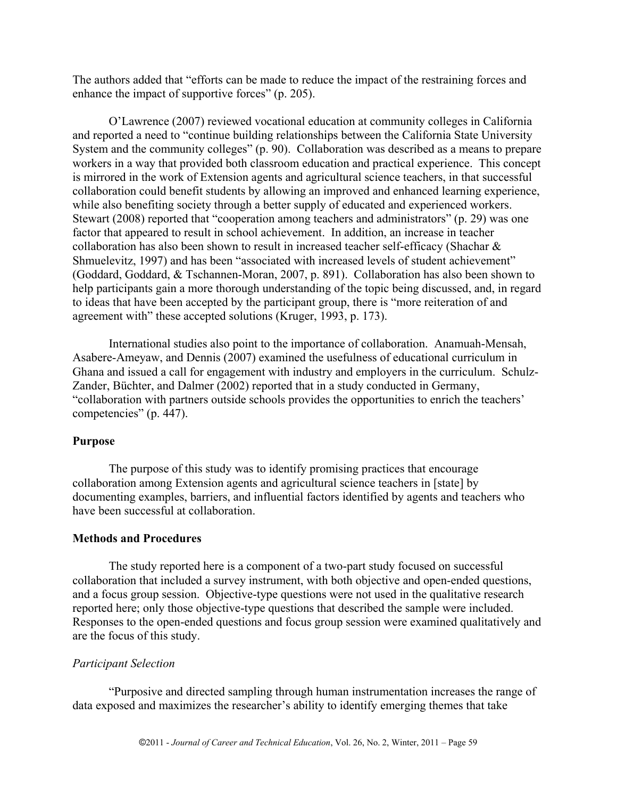The authors added that "efforts can be made to reduce the impact of the restraining forces and enhance the impact of supportive forces" (p. 205).

O'Lawrence (2007) reviewed vocational education at community colleges in California and reported a need to "continue building relationships between the California State University System and the community colleges" (p. 90). Collaboration was described as a means to prepare workers in a way that provided both classroom education and practical experience. This concept is mirrored in the work of Extension agents and agricultural science teachers, in that successful collaboration could benefit students by allowing an improved and enhanced learning experience, while also benefiting society through a better supply of educated and experienced workers. Stewart (2008) reported that "cooperation among teachers and administrators" (p. 29) was one factor that appeared to result in school achievement. In addition, an increase in teacher collaboration has also been shown to result in increased teacher self-efficacy (Shachar & Shmuelevitz, 1997) and has been "associated with increased levels of student achievement" (Goddard, Goddard, & Tschannen-Moran, 2007, p. 891). Collaboration has also been shown to help participants gain a more thorough understanding of the topic being discussed, and, in regard to ideas that have been accepted by the participant group, there is "more reiteration of and agreement with" these accepted solutions (Kruger, 1993, p. 173).

International studies also point to the importance of collaboration. Anamuah-Mensah, Asabere-Ameyaw, and Dennis (2007) examined the usefulness of educational curriculum in Ghana and issued a call for engagement with industry and employers in the curriculum. Schulz-Zander, Büchter, and Dalmer (2002) reported that in a study conducted in Germany, "collaboration with partners outside schools provides the opportunities to enrich the teachers' competencies" (p. 447).

# **Purpose**

The purpose of this study was to identify promising practices that encourage collaboration among Extension agents and agricultural science teachers in [state] by documenting examples, barriers, and influential factors identified by agents and teachers who have been successful at collaboration.

# **Methods and Procedures**

The study reported here is a component of a two-part study focused on successful collaboration that included a survey instrument, with both objective and open-ended questions, and a focus group session. Objective-type questions were not used in the qualitative research reported here; only those objective-type questions that described the sample were included. Responses to the open-ended questions and focus group session were examined qualitatively and are the focus of this study.

# *Participant Selection*

"Purposive and directed sampling through human instrumentation increases the range of data exposed and maximizes the researcher's ability to identify emerging themes that take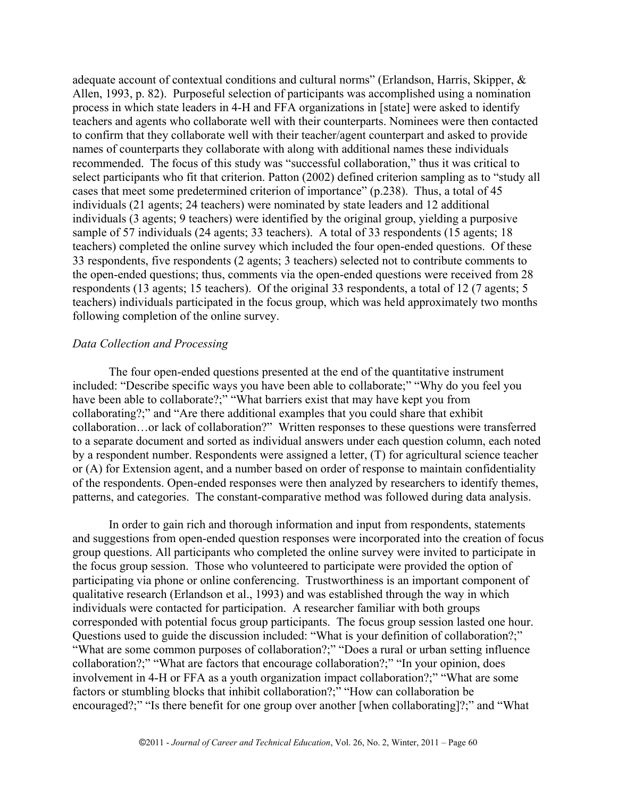adequate account of contextual conditions and cultural norms" (Erlandson, Harris, Skipper, & Allen, 1993, p. 82). Purposeful selection of participants was accomplished using a nomination process in which state leaders in 4-H and FFA organizations in [state] were asked to identify teachers and agents who collaborate well with their counterparts. Nominees were then contacted to confirm that they collaborate well with their teacher/agent counterpart and asked to provide names of counterparts they collaborate with along with additional names these individuals recommended. The focus of this study was "successful collaboration," thus it was critical to select participants who fit that criterion. Patton (2002) defined criterion sampling as to "study all cases that meet some predetermined criterion of importance" (p.238). Thus, a total of 45 individuals (21 agents; 24 teachers) were nominated by state leaders and 12 additional individuals (3 agents; 9 teachers) were identified by the original group, yielding a purposive sample of 57 individuals (24 agents; 33 teachers). A total of 33 respondents (15 agents; 18 teachers) completed the online survey which included the four open-ended questions. Of these 33 respondents, five respondents (2 agents; 3 teachers) selected not to contribute comments to the open-ended questions; thus, comments via the open-ended questions were received from 28 respondents (13 agents; 15 teachers). Of the original 33 respondents, a total of 12 (7 agents; 5 teachers) individuals participated in the focus group, which was held approximately two months following completion of the online survey.

### *Data Collection and Processing*

The four open-ended questions presented at the end of the quantitative instrument included: "Describe specific ways you have been able to collaborate;" "Why do you feel you have been able to collaborate?;" "What barriers exist that may have kept you from collaborating?;" and "Are there additional examples that you could share that exhibit collaboration…or lack of collaboration?" Written responses to these questions were transferred to a separate document and sorted as individual answers under each question column, each noted by a respondent number. Respondents were assigned a letter, (T) for agricultural science teacher or (A) for Extension agent, and a number based on order of response to maintain confidentiality of the respondents. Open-ended responses were then analyzed by researchers to identify themes, patterns, and categories. The constant-comparative method was followed during data analysis.

In order to gain rich and thorough information and input from respondents, statements and suggestions from open-ended question responses were incorporated into the creation of focus group questions. All participants who completed the online survey were invited to participate in the focus group session. Those who volunteered to participate were provided the option of participating via phone or online conferencing. Trustworthiness is an important component of qualitative research (Erlandson et al., 1993) and was established through the way in which individuals were contacted for participation. A researcher familiar with both groups corresponded with potential focus group participants. The focus group session lasted one hour. Questions used to guide the discussion included: "What is your definition of collaboration?;" "What are some common purposes of collaboration?;" "Does a rural or urban setting influence collaboration?;" "What are factors that encourage collaboration?;" "In your opinion, does involvement in 4-H or FFA as a youth organization impact collaboration?;" "What are some factors or stumbling blocks that inhibit collaboration?;" "How can collaboration be encouraged?;" "Is there benefit for one group over another [when collaborating]?;" and "What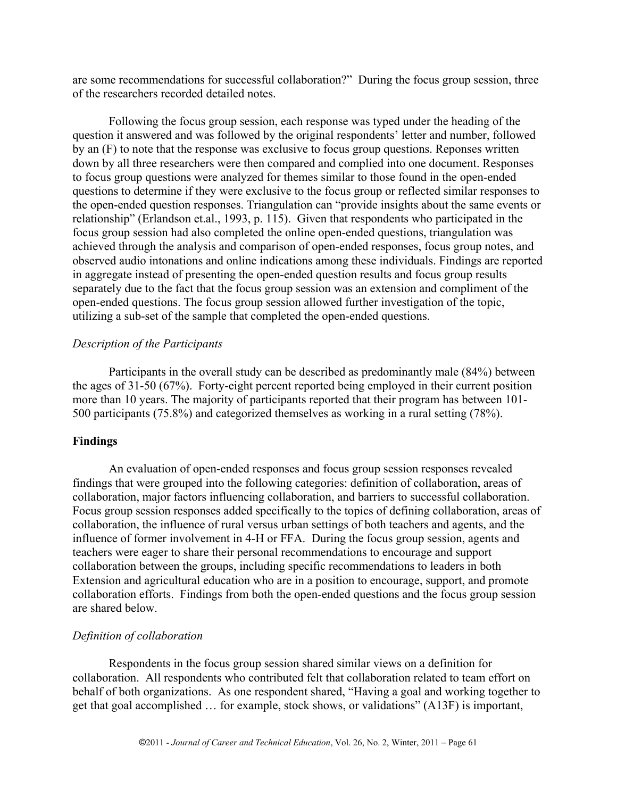are some recommendations for successful collaboration?" During the focus group session, three of the researchers recorded detailed notes.

Following the focus group session, each response was typed under the heading of the question it answered and was followed by the original respondents' letter and number, followed by an (F) to note that the response was exclusive to focus group questions. Reponses written down by all three researchers were then compared and complied into one document. Responses to focus group questions were analyzed for themes similar to those found in the open-ended questions to determine if they were exclusive to the focus group or reflected similar responses to the open-ended question responses. Triangulation can "provide insights about the same events or relationship" (Erlandson et.al., 1993, p. 115). Given that respondents who participated in the focus group session had also completed the online open-ended questions, triangulation was achieved through the analysis and comparison of open-ended responses, focus group notes, and observed audio intonations and online indications among these individuals. Findings are reported in aggregate instead of presenting the open-ended question results and focus group results separately due to the fact that the focus group session was an extension and compliment of the open-ended questions. The focus group session allowed further investigation of the topic, utilizing a sub-set of the sample that completed the open-ended questions.

## *Description of the Participants*

Participants in the overall study can be described as predominantly male (84%) between the ages of 31-50 (67%). Forty-eight percent reported being employed in their current position more than 10 years. The majority of participants reported that their program has between 101- 500 participants (75.8%) and categorized themselves as working in a rural setting (78%).

### **Findings**

An evaluation of open-ended responses and focus group session responses revealed findings that were grouped into the following categories: definition of collaboration, areas of collaboration, major factors influencing collaboration, and barriers to successful collaboration. Focus group session responses added specifically to the topics of defining collaboration, areas of collaboration, the influence of rural versus urban settings of both teachers and agents, and the influence of former involvement in 4-H or FFA. During the focus group session, agents and teachers were eager to share their personal recommendations to encourage and support collaboration between the groups, including specific recommendations to leaders in both Extension and agricultural education who are in a position to encourage, support, and promote collaboration efforts. Findings from both the open-ended questions and the focus group session are shared below.

#### *Definition of collaboration*

Respondents in the focus group session shared similar views on a definition for collaboration. All respondents who contributed felt that collaboration related to team effort on behalf of both organizations. As one respondent shared, "Having a goal and working together to get that goal accomplished … for example, stock shows, or validations" (A13F) is important,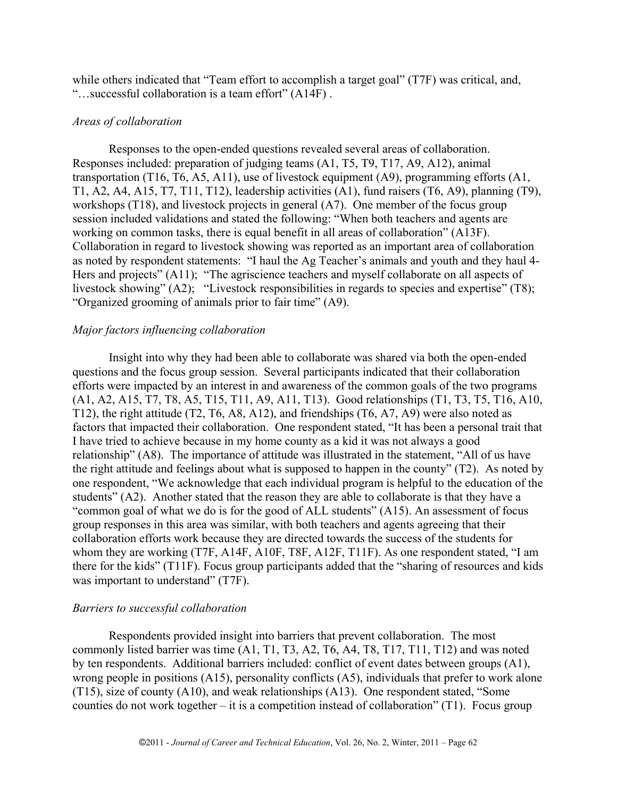while others indicated that "Team effort to accomplish a target goal" (T7F) was critical, and, "…successful collaboration is a team effort" (A14F) .

## *Areas of collaboration*

Responses to the open-ended questions revealed several areas of collaboration. Responses included: preparation of judging teams (A1, T5, T9, T17, A9, A12), animal transportation (T16, T6, A5, A11), use of livestock equipment (A9), programming efforts (A1, T1, A2, A4, A15, T7, T11, T12), leadership activities (A1), fund raisers (T6, A9), planning (T9), workshops (T18), and livestock projects in general (A7). One member of the focus group session included validations and stated the following: "When both teachers and agents are working on common tasks, there is equal benefit in all areas of collaboration" (A13F). Collaboration in regard to livestock showing was reported as an important area of collaboration as noted by respondent statements: "I haul the Ag Teacher's animals and youth and they haul 4- Hers and projects" (A11); "The agriscience teachers and myself collaborate on all aspects of livestock showing" (A2); "Livestock responsibilities in regards to species and expertise" (T8); "Organized grooming of animals prior to fair time" (A9).

# *Major factors influencing collaboration*

Insight into why they had been able to collaborate was shared via both the open-ended questions and the focus group session. Several participants indicated that their collaboration efforts were impacted by an interest in and awareness of the common goals of the two programs (A1, A2, A15, T7, T8, A5, T15, T11, A9, A11, T13). Good relationships (T1, T3, T5, T16, A10, T12), the right attitude (T2, T6, A8, A12), and friendships (T6, A7, A9) were also noted as factors that impacted their collaboration. One respondent stated, "It has been a personal trait that I have tried to achieve because in my home county as a kid it was not always a good relationship" (A8). The importance of attitude was illustrated in the statement, "All of us have the right attitude and feelings about what is supposed to happen in the county" (T2). As noted by one respondent, "We acknowledge that each individual program is helpful to the education of the students" (A2). Another stated that the reason they are able to collaborate is that they have a "common goal of what we do is for the good of ALL students" (A15). An assessment of focus group responses in this area was similar, with both teachers and agents agreeing that their collaboration efforts work because they are directed towards the success of the students for whom they are working (T7F, A14F, A10F, T8F, A12F, T11F). As one respondent stated, "I am there for the kids" (T11F). Focus group participants added that the "sharing of resources and kids was important to understand" (T7F).

# *Barriers to successful collaboration*

Respondents provided insight into barriers that prevent collaboration. The most commonly listed barrier was time (A1, T1, T3, A2, T6, A4, T8, T17, T11, T12) and was noted by ten respondents. Additional barriers included: conflict of event dates between groups (A1), wrong people in positions (A15), personality conflicts (A5), individuals that prefer to work alone (T15), size of county (A10), and weak relationships (A13). One respondent stated, "Some counties do not work together – it is a competition instead of collaboration" (T1). Focus group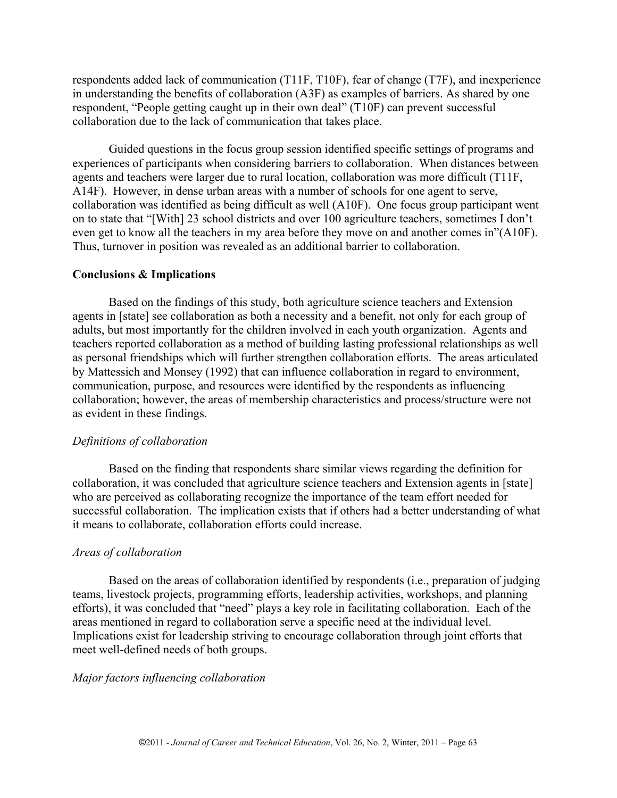respondents added lack of communication (T11F, T10F), fear of change (T7F), and inexperience in understanding the benefits of collaboration (A3F) as examples of barriers. As shared by one respondent, "People getting caught up in their own deal" (T10F) can prevent successful collaboration due to the lack of communication that takes place.

Guided questions in the focus group session identified specific settings of programs and experiences of participants when considering barriers to collaboration. When distances between agents and teachers were larger due to rural location, collaboration was more difficult (T11F, A14F). However, in dense urban areas with a number of schools for one agent to serve, collaboration was identified as being difficult as well (A10F). One focus group participant went on to state that "[With] 23 school districts and over 100 agriculture teachers, sometimes I don't even get to know all the teachers in my area before they move on and another comes in"(A10F). Thus, turnover in position was revealed as an additional barrier to collaboration.

### **Conclusions & Implications**

Based on the findings of this study, both agriculture science teachers and Extension agents in [state] see collaboration as both a necessity and a benefit, not only for each group of adults, but most importantly for the children involved in each youth organization. Agents and teachers reported collaboration as a method of building lasting professional relationships as well as personal friendships which will further strengthen collaboration efforts. The areas articulated by Mattessich and Monsey (1992) that can influence collaboration in regard to environment, communication, purpose, and resources were identified by the respondents as influencing collaboration; however, the areas of membership characteristics and process/structure were not as evident in these findings.

#### *Definitions of collaboration*

Based on the finding that respondents share similar views regarding the definition for collaboration, it was concluded that agriculture science teachers and Extension agents in [state] who are perceived as collaborating recognize the importance of the team effort needed for successful collaboration. The implication exists that if others had a better understanding of what it means to collaborate, collaboration efforts could increase.

#### *Areas of collaboration*

Based on the areas of collaboration identified by respondents (i.e., preparation of judging teams, livestock projects, programming efforts, leadership activities, workshops, and planning efforts), it was concluded that "need" plays a key role in facilitating collaboration. Each of the areas mentioned in regard to collaboration serve a specific need at the individual level. Implications exist for leadership striving to encourage collaboration through joint efforts that meet well-defined needs of both groups.

## *Major factors influencing collaboration*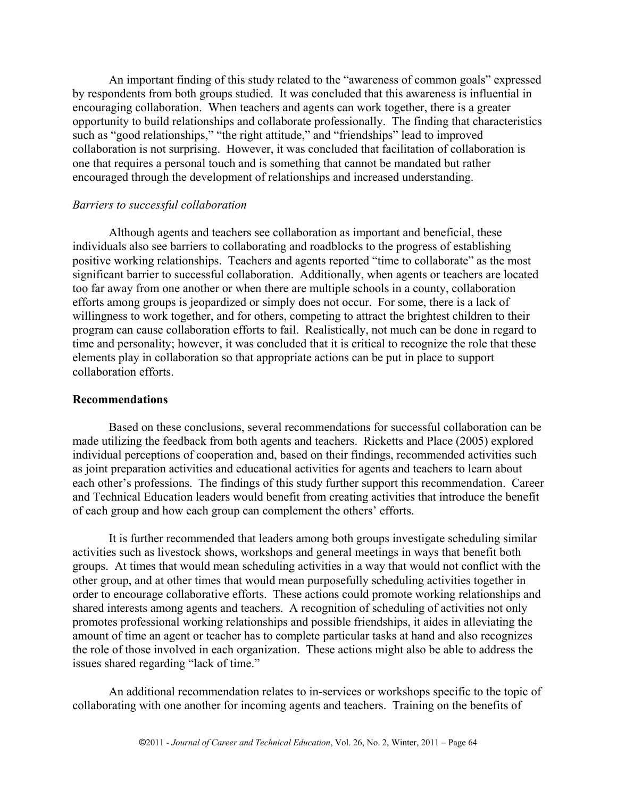An important finding of this study related to the "awareness of common goals" expressed by respondents from both groups studied. It was concluded that this awareness is influential in encouraging collaboration. When teachers and agents can work together, there is a greater opportunity to build relationships and collaborate professionally. The finding that characteristics such as "good relationships," "the right attitude," and "friendships" lead to improved collaboration is not surprising. However, it was concluded that facilitation of collaboration is one that requires a personal touch and is something that cannot be mandated but rather encouraged through the development of relationships and increased understanding.

### *Barriers to successful collaboration*

Although agents and teachers see collaboration as important and beneficial, these individuals also see barriers to collaborating and roadblocks to the progress of establishing positive working relationships. Teachers and agents reported "time to collaborate" as the most significant barrier to successful collaboration. Additionally, when agents or teachers are located too far away from one another or when there are multiple schools in a county, collaboration efforts among groups is jeopardized or simply does not occur. For some, there is a lack of willingness to work together, and for others, competing to attract the brightest children to their program can cause collaboration efforts to fail. Realistically, not much can be done in regard to time and personality; however, it was concluded that it is critical to recognize the role that these elements play in collaboration so that appropriate actions can be put in place to support collaboration efforts.

#### **Recommendations**

Based on these conclusions, several recommendations for successful collaboration can be made utilizing the feedback from both agents and teachers. Ricketts and Place (2005) explored individual perceptions of cooperation and, based on their findings, recommended activities such as joint preparation activities and educational activities for agents and teachers to learn about each other's professions. The findings of this study further support this recommendation. Career and Technical Education leaders would benefit from creating activities that introduce the benefit of each group and how each group can complement the others' efforts.

It is further recommended that leaders among both groups investigate scheduling similar activities such as livestock shows, workshops and general meetings in ways that benefit both groups. At times that would mean scheduling activities in a way that would not conflict with the other group, and at other times that would mean purposefully scheduling activities together in order to encourage collaborative efforts. These actions could promote working relationships and shared interests among agents and teachers. A recognition of scheduling of activities not only promotes professional working relationships and possible friendships, it aides in alleviating the amount of time an agent or teacher has to complete particular tasks at hand and also recognizes the role of those involved in each organization. These actions might also be able to address the issues shared regarding "lack of time."

An additional recommendation relates to in-services or workshops specific to the topic of collaborating with one another for incoming agents and teachers. Training on the benefits of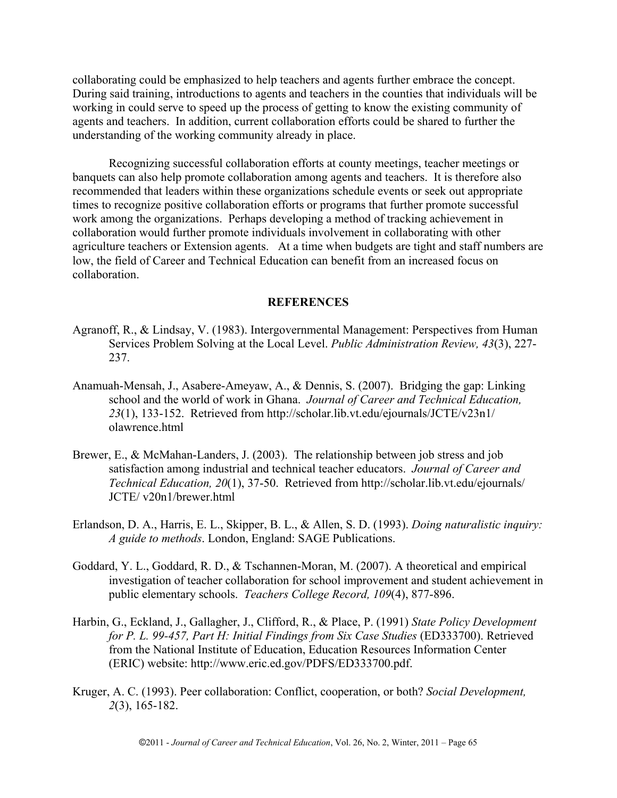collaborating could be emphasized to help teachers and agents further embrace the concept. During said training, introductions to agents and teachers in the counties that individuals will be working in could serve to speed up the process of getting to know the existing community of agents and teachers. In addition, current collaboration efforts could be shared to further the understanding of the working community already in place.

Recognizing successful collaboration efforts at county meetings, teacher meetings or banquets can also help promote collaboration among agents and teachers. It is therefore also recommended that leaders within these organizations schedule events or seek out appropriate times to recognize positive collaboration efforts or programs that further promote successful work among the organizations. Perhaps developing a method of tracking achievement in collaboration would further promote individuals involvement in collaborating with other agriculture teachers or Extension agents. At a time when budgets are tight and staff numbers are low, the field of Career and Technical Education can benefit from an increased focus on collaboration.

### **REFERENCES**

- Agranoff, R., & Lindsay, V. (1983). Intergovernmental Management: Perspectives from Human Services Problem Solving at the Local Level. *Public Administration Review, 43*(3), 227- 237.
- Anamuah-Mensah, J., Asabere-Ameyaw, A., & Dennis, S. (2007). Bridging the gap: Linking school and the world of work in Ghana. *Journal of Career and Technical Education, 23*(1), 133-152. Retrieved from http://scholar.lib.vt.edu/ejournals/JCTE/v23n1/ olawrence.html
- Brewer, E., & McMahan-Landers, J. (2003). The relationship between job stress and job satisfaction among industrial and technical teacher educators. *Journal of Career and Technical Education, 20*(1), 37-50. Retrieved from http://scholar.lib.vt.edu/ejournals/ JCTE/ v20n1/brewer.html
- Erlandson, D. A., Harris, E. L., Skipper, B. L., & Allen, S. D. (1993). *Doing naturalistic inquiry: A guide to methods*. London, England: SAGE Publications.
- Goddard, Y. L., Goddard, R. D., & Tschannen-Moran, M. (2007). A theoretical and empirical investigation of teacher collaboration for school improvement and student achievement in public elementary schools. *Teachers College Record, 109*(4), 877-896.
- Harbin, G., Eckland, J., Gallagher, J., Clifford, R., & Place, P. (1991) *State Policy Development for P. L. 99-457, Part H: Initial Findings from Six Case Studies* (ED333700). Retrieved from the National Institute of Education, Education Resources Information Center (ERIC) website: http://www.eric.ed.gov/PDFS/ED333700.pdf.
- Kruger, A. C. (1993). Peer collaboration: Conflict, cooperation, or both? *Social Development, 2*(3), 165-182.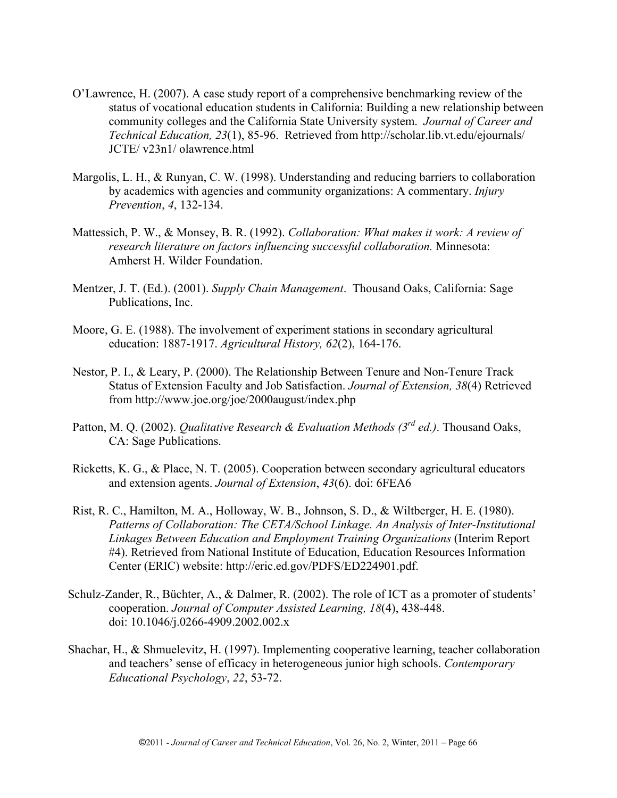- O'Lawrence, H. (2007). A case study report of a comprehensive benchmarking review of the status of vocational education students in California: Building a new relationship between community colleges and the California State University system. *Journal of Career and Technical Education, 23*(1), 85-96. Retrieved from http://scholar.lib.vt.edu/ejournals/ JCTE/ v23n1/ olawrence.html
- Margolis, L. H., & Runyan, C. W. (1998). Understanding and reducing barriers to collaboration by academics with agencies and community organizations: A commentary. *Injury Prevention*, *4*, 132-134.
- Mattessich, P. W., & Monsey, B. R. (1992). *Collaboration: What makes it work: A review of research literature on factors influencing successful collaboration.* Minnesota: Amherst H. Wilder Foundation.
- Mentzer, J. T. (Ed.). (2001). *Supply Chain Management*. Thousand Oaks, California: Sage Publications, Inc.
- Moore, G. E. (1988). The involvement of experiment stations in secondary agricultural education: 1887-1917. *Agricultural History, 62*(2), 164-176.
- Nestor, P. I., & Leary, P. (2000). The Relationship Between Tenure and Non-Tenure Track Status of Extension Faculty and Job Satisfaction. *Journal of Extension, 38*(4) Retrieved from http://www.joe.org/joe/2000august/index.php
- Patton, M. Q. (2002). *Qualitative Research & Evaluation Methods (3rd ed.)*. Thousand Oaks, CA: Sage Publications.
- Ricketts, K. G., & Place, N. T. (2005). Cooperation between secondary agricultural educators and extension agents. *Journal of Extension*, *43*(6). doi: 6FEA6
- Rist, R. C., Hamilton, M. A., Holloway, W. B., Johnson, S. D., & Wiltberger, H. E. (1980). *Patterns of Collaboration: The CETA/School Linkage. An Analysis of Inter-Institutional Linkages Between Education and Employment Training Organizations* (Interim Report #4). Retrieved from National Institute of Education, Education Resources Information Center (ERIC) website: http://eric.ed.gov/PDFS/ED224901.pdf.
- Schulz-Zander, R., Büchter, A., & Dalmer, R. (2002). The role of ICT as a promoter of students' cooperation. *Journal of Computer Assisted Learning, 18*(4), 438-448. doi: 10.1046/j.0266-4909.2002.002.x
- Shachar, H., & Shmuelevitz, H. (1997). Implementing cooperative learning, teacher collaboration and teachers' sense of efficacy in heterogeneous junior high schools. *Contemporary Educational Psychology*, *22*, 53-72.